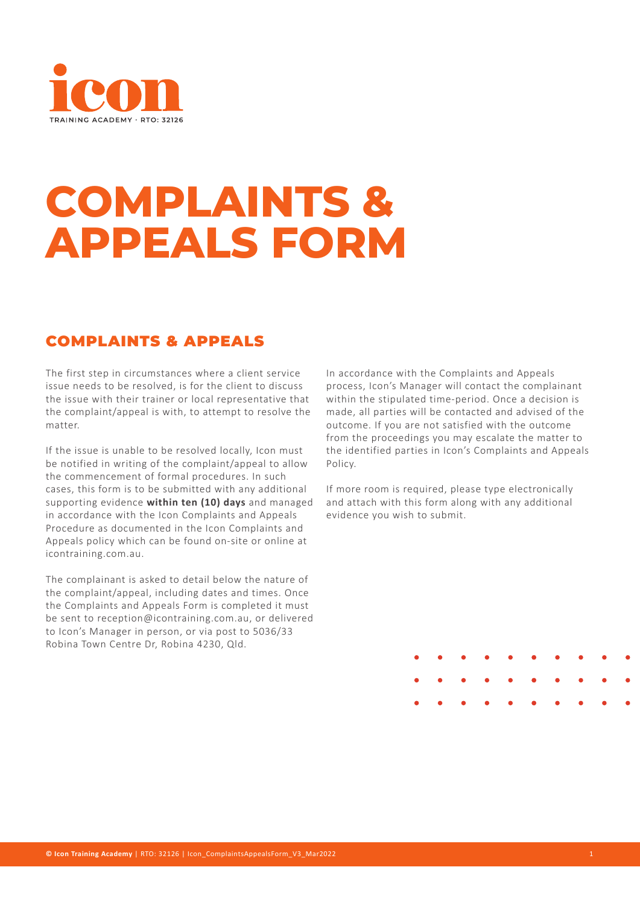

# **COMPLAINTS & APPEALS FORM**

### COMPLAINTS & APPEALS

The first step in circumstances where a client service issue needs to be resolved, is for the client to discuss the issue with their trainer or local representative that the complaint/appeal is with, to attempt to resolve the matter.

If the issue is unable to be resolved locally, Icon must be notified in writing of the complaint/appeal to allow the commencement of formal procedures. In such cases, this form is to be submitted with any additional supporting evidence **within ten (10) days** and managed in accordance with the Icon Complaints and Appeals Procedure as documented in the Icon Complaints and Appeals policy which can be found on-site or online at icontraining.com.au.

The complainant is asked to detail below the nature of the complaint/appeal, including dates and times. Once the Complaints and Appeals Form is completed it must be sent to reception@icontraining.com.au, or delivered to Icon's Manager in person, or via post to 5036/33 Robina Town Centre Dr, Robina 4230, Qld.

In accordance with the Complaints and Appeals process, Icon's Manager will contact the complainant within the stipulated time-period. Once a decision is made, all parties will be contacted and advised of the outcome. If you are not satisfied with the outcome from the proceedings you may escalate the matter to the identified parties in Icon's Complaints and Appeals Policy.

If more room is required, please type electronically and attach with this form along with any additional evidence you wish to submit.

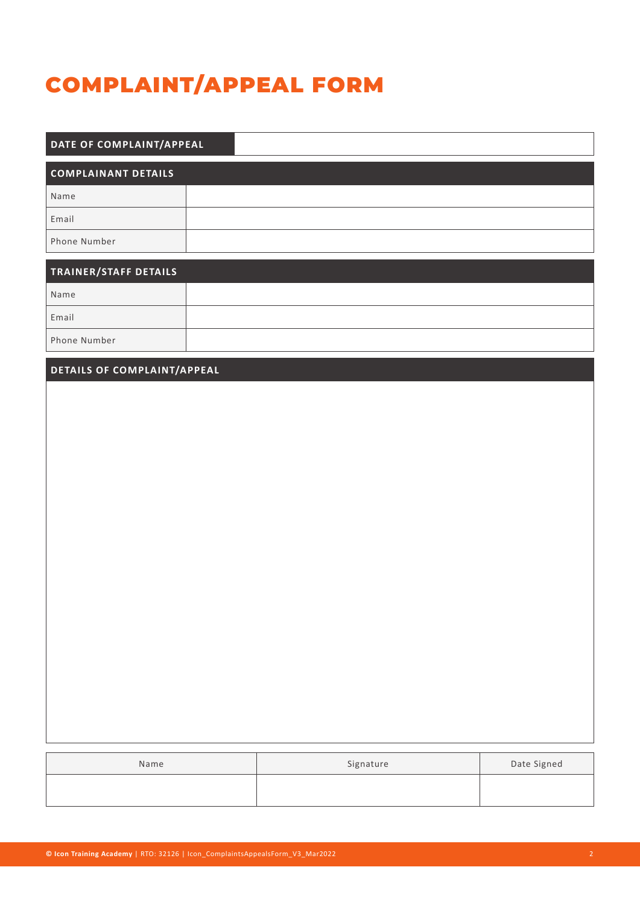### COMPLAINT/APPEAL FORM

| DATE OF COMPLAINT/APPEAL   |  |  |  |
|----------------------------|--|--|--|
| <b>COMPLAINANT DETAILS</b> |  |  |  |
| Name                       |  |  |  |
| Email                      |  |  |  |
| Phone Number               |  |  |  |

| <b>TRAINER/STAFF DETAILS</b> |  |
|------------------------------|--|
| Name                         |  |
| Email                        |  |
| Phone Number                 |  |

#### **DETAILS OF COMPLAINT/APPEAL**

| Name | Signature | Date Signed |
|------|-----------|-------------|
|      |           |             |